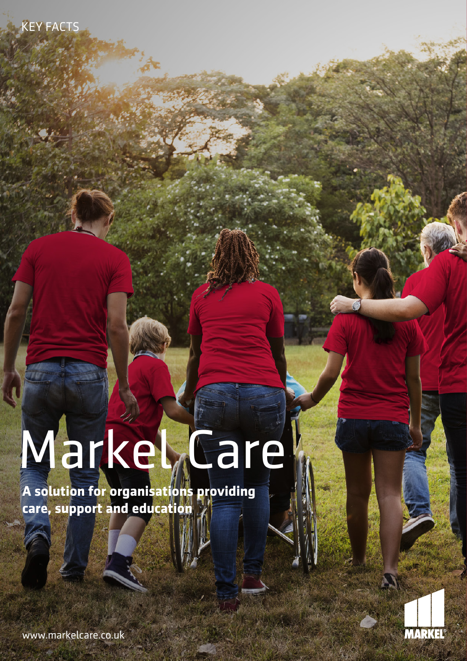KEY FACTS

# Markel<sub> d</sub>eare

**A solution for organisations providing care, support and education**



www.markelcare.co.uk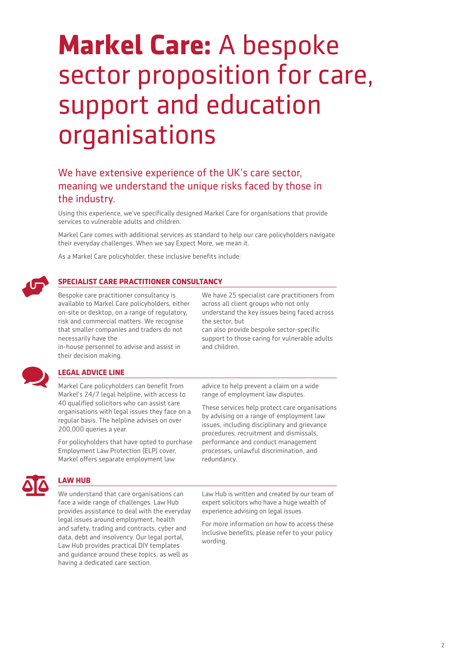# **Markel Care:** A bespoke sector proposition for care, support and education organisations

## We have extensive experience of the UK's care sector, meaning we understand the unique risks faced by those in the industry.

Using this experience, we've specifically designed Markel Care for organisations that provide services to vulnerable adults and children.

Markel Care comes with additional services as standard to help our care policyholders navigate their everyday challenges. When we say Expect More, we mean it.

As a Markel Care policyholder, these inclusive benefits include:



#### **SPECIALIST CARE PRACTITIONER CONSULTANCY**

Bespoke care practitioner consultancy is available to Markel Care policyholders, either on-site or desktop, on a range of regulatory, risk and commercial matters. We recognise that smaller companies and traders do not necessarily have the

in-house personnel to advise and assist in their decision making.

We have 25 specialist care practitioners from across all client groups who not only understand the key issues being faced across the sector, but can also provide bespoke sector-specific

support to those caring for vulnerable adults and children.



#### **LEGAL ADVICE LINE**

Markel Care policyholders can benefit from Markel's 24/7 legal helpline, with access to 40 qualified solicitors who can assist care organisations with legal issues they face on a regular basis. The helpline advises on over 200,000 queries a year.

For policyholders that have opted to purchase Employment Law Protection (ELP) cover, Markel offers separate employment law

## **LAW HUB**

We understand that care organisations can face a wide range of challenges. Law Hub provides assistance to deal with the everyday legal issues around employment, health and safety, trading and contracts, cyber and data, debt and insolvency. Our legal portal, Law Hub provides practical DIY templates and guidance around these topics, as well as having a dedicated care section.

advice to help prevent a claim on a wide range of employment law disputes.

These services help protect care organisations by advising on a range of employment law issues, including disciplinary and grievance procedures, recruitment and dismissals, performance and conduct management processes, unlawful discrimination, and redundancy.

Law Hub is written and created by our team of expert solicitors who have a huge wealth of experience advising on legal issues.

For more information on how to access these inclusive benefits, please refer to your policy wording.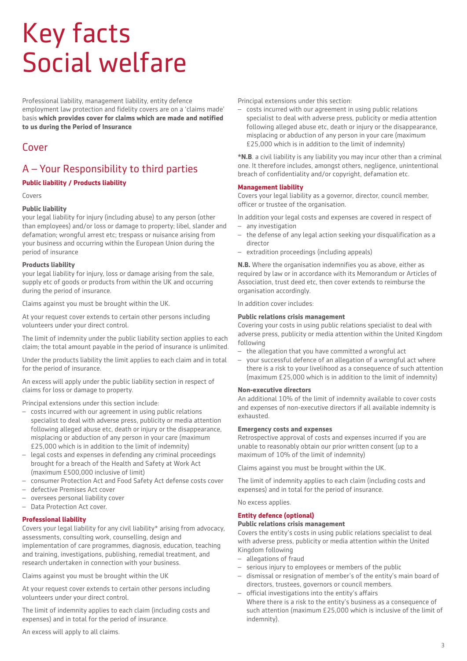# Key facts Social welfare

Professional liability, management liability, entity defence employment law protection and fidelity covers are on a 'claims made' basis **which provides cover for claims which are made and notified to us during the Period of Insurance**

## Cover

# A – Your Responsibility to third parties

#### **Public liability / Products liability**

Covers

#### **Public liability**

your legal liability for injury (including abuse) to any person (other than employees) and/or loss or damage to property; libel, slander and defamation; wrongful arrest etc; trespass or nuisance arising from your business and occurring within the European Union during the period of insurance

#### **Products liability**

your legal liability for injury, loss or damage arising from the sale, supply etc of goods or products from within the UK and occurring during the period of insurance.

Claims against you must be brought within the UK.

At your request cover extends to certain other persons including volunteers under your direct control.

The limit of indemnity under the public liability section applies to each claim; the total amount payable in the period of insurance is unlimited.

Under the products liability the limit applies to each claim and in total for the period of insurance.

An excess will apply under the public liability section in respect of claims for loss or damage to property.

Principal extensions under this section include:

- costs incurred with our agreement in using public relations specialist to deal with adverse press, publicity or media attention following alleged abuse etc, death or injury or the disappearance, misplacing or abduction of any person in your care (maximum £25,000 which is in addition to the limit of indemnity)
- legal costs and expenses in defending any criminal proceedings brought for a breach of the Health and Safety at Work Act (maximum £500,000 inclusive of limit)
- consumer Protection Act and Food Safety Act defense costs cover
- defective Premises Act cover
- oversees personal liability cover
- Data Protection Act cover.

#### **Professional liability**

Covers your legal liability for any civil liability\* arising from advocacy, assessments, consulting work, counselling, design and implementation of care programmes, diagnosis, education, teaching

and training, investigations, publishing, remedial treatment, and research undertaken in connection with your business.

Claims against you must be brought within the UK

At your request cover extends to certain other persons including volunteers under your direct control.

The limit of indemnity applies to each claim (including costs and expenses) and in total for the period of insurance.

An excess will apply to all claims.

Principal extensions under this section:

– costs incurred with our agreement in using public relations specialist to deal with adverse press, publicity or media attention following alleged abuse etc, death or injury or the disappearance, misplacing or abduction of any person in your care (maximum £25,000 which is in addition to the limit of indemnity)

**\*N.B**. a civil liability is any liability you may incur other than a criminal one. It therefore includes, amongst others, negligence, unintentional breach of confidentiality and/or copyright, defamation etc.

#### **Management liability**

Covers your legal liability as a governor, director, council member, officer or trustee of the organisation.

- In addition your legal costs and expenses are covered in respect of – any investigation
- the defense of any legal action seeking your disqualification as a director
- extradition proceedings (including appeals)

**N.B.** Where the organisation indemnifies you as above, either as required by law or in accordance with its Memorandum or Articles of Association, trust deed etc, then cover extends to reimburse the organisation accordingly.

In addition cover includes:

#### **Public relations crisis management**

Covering your costs in using public relations specialist to deal with adverse press, publicity or media attention within the United Kingdom following

- the allegation that you have committed a wrongful act
- your successful defence of an allegation of a wrongful act where there is a risk to your livelihood as a consequence of such attention (maximum £25,000 which is in addition to the limit of indemnity)

#### **Non-executive directors**

An additional 10% of the limit of indemnity available to cover costs and expenses of non-executive directors if all available indemnity is exhausted.

#### **Emergency costs and expenses**

Retrospective approval of costs and expenses incurred if you are unable to reasonably obtain our prior written consent (up to a maximum of 10% of the limit of indemnity)

Claims against you must be brought within the UK.

The limit of indemnity applies to each claim (including costs and expenses) and in total for the period of insurance.

No excess applies.

#### **Entity defence (optional)**

#### **Public relations crisis management**

Covers the entity's costs in using public relations specialist to deal with adverse press, publicity or media attention within the United Kingdom following

- allegations of fraud
- serious injury to employees or members of the public
- dismissal or resignation of member's of the entity's main board of directors, trustees, governors or council members.
- official investigations into the entity's affairs Where there is a risk to the entity's business as a consequence of such attention (maximum £25,000 which is inclusive of the limit of indemnity).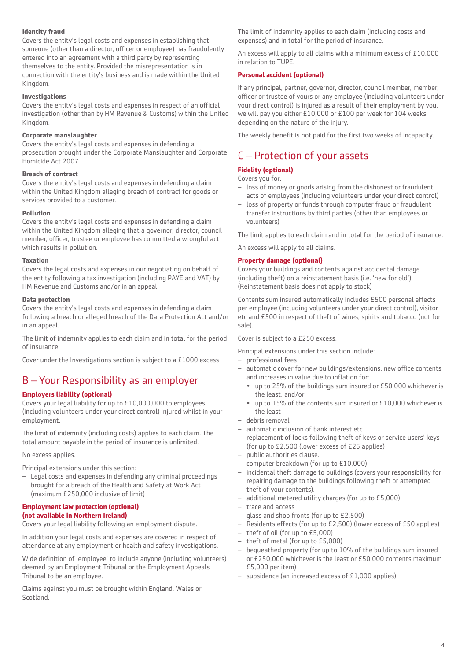#### **Identity fraud**

Covers the entity's legal costs and expenses in establishing that someone (other than a director, officer or employee) has fraudulently entered into an agreement with a third party by representing themselves to the entity. Provided the misrepresentation is in connection with the entity's business and is made within the United Kingdom.

#### **Investigations**

Covers the entity's legal costs and expenses in respect of an official investigation (other than by HM Revenue & Customs) within the United Kingdom.

#### **Corporate manslaughter**

Covers the entity's legal costs and expenses in defending a prosecution brought under the Corporate Manslaughter and Corporate Homicide Act 2007

#### **Breach of contract**

Covers the entity's legal costs and expenses in defending a claim within the United Kingdom alleging breach of contract for goods or services provided to a customer.

#### **Pollution**

Covers the entity's legal costs and expenses in defending a claim within the United Kingdom alleging that a governor, director, council member, officer, trustee or employee has committed a wrongful act which results in pollution.

#### **Taxation**

Covers the legal costs and expenses in our negotiating on behalf of the entity following a tax investigation (including PAYE and VAT) by HM Revenue and Customs and/or in an appeal.

#### **Data protection**

Covers the entity's legal costs and expenses in defending a claim following a breach or alleged breach of the Data Protection Act and/or in an appeal.

The limit of indemnity applies to each claim and in total for the period of insurance.

Cover under the Investigations section is subject to a £1000 excess

# B – Your Responsibility as an employer

#### **Employers liability (optional)**

Covers your legal liability for up to £10,000,000 to employees (including volunteers under your direct control) injured whilst in your employment.

The limit of indemnity (including costs) applies to each claim. The total amount payable in the period of insurance is unlimited.

No excess applies.

Principal extensions under this section:

– Legal costs and expenses in defending any criminal proceedings brought for a breach of the Health and Safety at Work Act (maximum £250,000 inclusive of limit)

#### **Employment law protection (optional) (not available in Northern Ireland)**

Covers your legal liability following an employment dispute.

In addition your legal costs and expenses are covered in respect of attendance at any employment or health and safety investigations.

Wide definition of 'employee' to include anyone (including volunteers) deemed by an Employment Tribunal or the Employment Appeals Tribunal to be an employee.

Claims against you must be brought within England, Wales or Scotland.

The limit of indemnity applies to each claim (including costs and expenses) and in total for the period of insurance.

An excess will apply to all claims with a minimum excess of £10,000 in relation to TUPE.

#### **Personal accident (optional)**

If any principal, partner, governor, director, council member, member, officer or trustee of yours or any employee (including volunteers under your direct control) is injured as a result of their employment by you, we will pay you either £10,000 or £100 per week for 104 weeks depending on the nature of the injury.

The weekly benefit is not paid for the first two weeks of incapacity.

# C – Protection of your assets

#### **Fidelity (optional)**

Covers you for:

- loss of money or goods arising from the dishonest or fraudulent acts of employees (including volunteers under your direct control)
- loss of property or funds through computer fraud or fraudulent transfer instructions by third parties (other than employees or volunteers)

The limit applies to each claim and in total for the period of insurance.

An excess will apply to all claims.

#### **Property damage (optional)**

Covers your buildings and contents against accidental damage (including theft) on a reinstatement basis (i.e. 'new for old'). (Reinstatement basis does not apply to stock)

Contents sum insured automatically includes £500 personal effects per employee (including volunteers under your direct control), visitor etc and £500 in respect of theft of wines, spirits and tobacco (not for sale).

Cover is subject to a £250 excess.

Principal extensions under this section include:

- professional fees
- automatic cover for new buildings/extensions, new office contents and increases in value due to inflation for:
	- up to 25% of the buildings sum insured or £50,000 whichever is the least, and/or
	- up to 15% of the contents sum insured or £10,000 whichever is the least
- debris removal
- automatic inclusion of bank interest etc
- replacement of locks following theft of keys or service users' keys (for up to £2,500 (lower excess of £25 applies)
- public authorities clause.
- computer breakdown (for up to £10,000).
- incidental theft damage to buildings (covers your responsibility for repairing damage to the buildings following theft or attempted theft of your contents).
- additional metered utility charges (for up to £5,000)
- trace and access
- glass and shop fronts (for up to £2,500)
- Residents effects (for up to £2,500) (lower excess of £50 applies)
- theft of oil (for up to £5,000)
- theft of metal (for up to £5,000)
- bequeathed property (for up to 10% of the buildings sum insured or £250,000 whichever is the least or £50,000 contents maximum £5,000 per item)
- subsidence (an increased excess of £1,000 applies)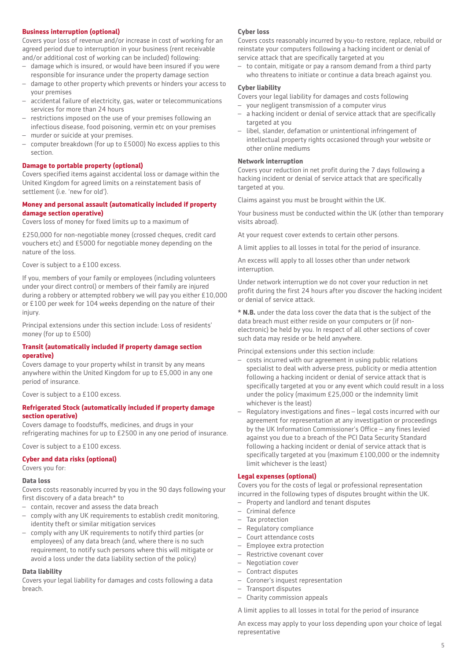#### **Business interruption (optional)**

Covers your loss of revenue and/or increase in cost of working for an agreed period due to interruption in your business (rent receivable and/or additional cost of working can be included) following:

- damage which is insured, or would have been insured if you were responsible for insurance under the property damage section
- damage to other property which prevents or hinders your access to your premises
- accidental failure of electricity, gas, water or telecommunications services for more than 24 hours
- restrictions imposed on the use of your premises following an infectious disease, food poisoning, vermin etc on your premises
- murder or suicide at your premises.
- computer breakdown (for up to £5000) No excess applies to this section.

#### **Damage to portable property (optional)**

Covers specified items against accidental loss or damage within the United Kingdom for agreed limits on a reinstatement basis of settlement (i.e. 'new for old').

#### **Money and personal assault (automatically included if property damage section operative)**

Covers loss of money for fixed limits up to a maximum of

£250,000 for non-negotiable money (crossed cheques, credit card vouchers etc) and £5000 for negotiable money depending on the nature of the loss.

Cover is subject to a £100 excess.

If you, members of your family or employees (including volunteers under your direct control) or members of their family are injured during a robbery or attempted robbery we will pay you either £10,000 or £100 per week for 104 weeks depending on the nature of their injury.

Principal extensions under this section include: Loss of residents' money (for up to £500)

#### **Transit (automatically included if property damage section operative)**

Covers damage to your property whilst in transit by any means anywhere within the United Kingdom for up to £5,000 in any one period of insurance.

Cover is subject to a £100 excess.

#### **Refrigerated Stock (automatically included if property damage section operative)**

Covers damage to foodstuffs, medicines, and drugs in your refrigerating machines for up to £2500 in any one period of insurance.

Cover is subject to a £100 excess.

#### **Cyber and data risks (optional)**

Covers you for:

#### **Data loss**

Covers costs reasonably incurred by you in the 90 days following your first discovery of a data breach\* to

- contain, recover and assess the data breach
- comply with any UK requirements to establish credit monitoring, identity theft or similar mitigation services
- comply with any UK requirements to notify third parties (or employees) of any data breach (and, where there is no such requirement, to notify such persons where this will mitigate or avoid a loss under the data liability section of the policy)

#### **Data liability**

Covers your legal liability for damages and costs following a data breach.

#### **Cyber loss**

Covers costs reasonably incurred by you-to restore, replace, rebuild or reinstate your computers following a hacking incident or denial of service attack that are specifically targeted at you

– to contain, mitigate or pay a ransom demand from a third party who threatens to initiate or continue a data breach against you.

#### **Cyber liability**

Covers your legal liability for damages and costs following

- your negligent transmission of a computer virus
- a hacking incident or denial of service attack that are specifically targeted at you
- libel, slander, defamation or unintentional infringement of intellectual property rights occasioned through your website or other online mediums

#### **Network interruption**

Covers your reduction in net profit during the 7 days following a hacking incident or denial of service attack that are specifically targeted at you.

Claims against you must be brought within the UK.

Your business must be conducted within the UK (other than temporary visits abroad).

At your request cover extends to certain other persons.

A limit applies to all losses in total for the period of insurance.

An excess will apply to all losses other than under network interruption.

Under network interruption we do not cover your reduction in net profit during the first 24 hours after you discover the hacking incident or denial of service attack.

**\* N.B.** under the data loss cover the data that is the subject of the data breach must either reside on your computers or (if nonelectronic) be held by you. In respect of all other sections of cover such data may reside or be held anywhere.

Principal extensions under this section include:

- costs incurred with our agreement in using public relations specialist to deal with adverse press, publicity or media attention following a hacking incident or denial of service attack that is specifically targeted at you or any event which could result in a loss under the policy (maximum £25,000 or the indemnity limit whichever is the least)
- Regulatory investigations and fines legal costs incurred with our agreement for representation at any investigation or proceedings by the UK Information Commissioner's Office – any fines levied against you due to a breach of the PCI Data Security Standard following a hacking incident or denial of service attack that is specifically targeted at you (maximum £100,000 or the indemnity limit whichever is the least)

#### **Legal expenses (optional)**

Covers you for the costs of legal or professional representation incurred in the following types of disputes brought within the UK.

- Property and landlord and tenant disputes
- Criminal defence
- Tax protection
- Regulatory compliance
- Court attendance costs
- Employee extra protection
- Restrictive covenant cover
- Negotiation cover
- Contract disputes
- Coroner's inquest representation
- Transport disputes
- Charity commission appeals

A limit applies to all losses in total for the period of insurance

An excess may apply to your loss depending upon your choice of legal representative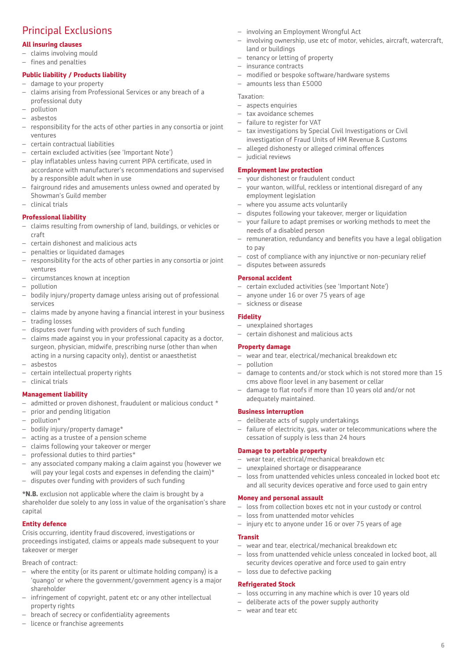# Principal Exclusions

#### **All insuring clauses**

- claims involving mould
- fines and penalties

#### **Public liability / Products liability**

- damage to your property
- claims arising from Professional Services or any breach of a professional duty
- pollution
- asbestos
- responsibility for the acts of other parties in any consortia or joint ventures
- certain contractual liabilities
- certain excluded activities (see 'Important Note')
- play inflatables unless having current PIPA certificate, used in accordance with manufacturer's recommendations and supervised by a responsible adult when in use
- fairground rides and amusements unless owned and operated by Showman's Guild member
- clinical trials

#### **Professional liability**

- claims resulting from ownership of land, buildings, or vehicles or craft
- certain dishonest and malicious acts
- penalties or liquidated damages
- responsibility for the acts of other parties in any consortia or joint ventures
- circumstances known at inception
- pollution
- bodily injury/property damage unless arising out of professional services
- claims made by anyone having a financial interest in your business
- trading losses
- disputes over funding with providers of such funding
- claims made against you in your professional capacity as a doctor, surgeon, physician, midwife, prescribing nurse (other than when acting in a nursing capacity only), dentist or anaesthetist
- asbestos
- certain intellectual property rights
- clinical trials

#### **Management liability**

- $-$  admitted or proven dishonest, fraudulent or malicious conduct  $*$
- prior and pending litigation
- pollution\*
- bodily injury/property damage\*
- acting as a trustee of a pension scheme
- claims following your takeover or merger
- professional duties to third parties\*
- any associated company making a claim against you (however we will pay your legal costs and expenses in defending the claim)\*
- disputes over funding with providers of such funding

**\*N.B.** exclusion not applicable where the claim is brought by a shareholder due solely to any loss in value of the organisation's share capital

#### **Entity defence**

Crisis occurring, identity fraud discovered, investigations or proceedings instigated, claims or appeals made subsequent to your takeover or merger

Breach of contract:

- where the entity (or its parent or ultimate holding company) is a 'quango' or where the government/government agency is a major shareholder
- infringement of copyright, patent etc or any other intellectual property rights
- breach of secrecy or confidentiality agreements
- licence or franchise agreements
- involving an Employment Wrongful Act
- involving ownership, use etc of motor, vehicles, aircraft, watercraft, land or buildings
- tenancy or letting of property
- insurance contracts
- modified or bespoke software/hardware systems
- amounts less than £5000

#### Taxation:

- aspects enquiries
- tax avoidance schemes
- failure to register for VAT – tax investigations by Special Civil Investigations or Civil
- investigation of Fraud Units of HM Revenue & Customs
- alleged dishonesty or alleged criminal offences
- judicial reviews

#### **Employment law protection**

- your dishonest or fraudulent conduct
- your wanton, willful, reckless or intentional disregard of any employment legislation
- where you assume acts voluntarily
- disputes following your takeover, merger or liquidation
- your failure to adapt premises or working methods to meet the needs of a disabled person
- remuneration, redundancy and benefits you have a legal obligation to pay
- cost of compliance with any injunctive or non-pecuniary relief
- disputes between assureds

#### **Personal accident**

- certain excluded activities (see 'Important Note')
- anyone under 16 or over 75 years of age
- sickness or disease

#### **Fidelity**

– unexplained shortages – certain dishonest and malicious acts

#### **Property damage**

- wear and tear, electrical/mechanical breakdown etc
- pollution
- damage to contents and/or stock which is not stored more than 15 cms above floor level in any basement or cellar
- damage to flat roofs if more than 10 years old and/or not adequately maintained.

#### **Business interruption**

- deliberate acts of supply undertakings
- failure of electricity, gas, water or telecommunications where the cessation of supply is less than 24 hours

#### **Damage to portable property**

- wear tear, electrical/mechanical breakdown etc
- unexplained shortage or disappearance
- loss from unattended vehicles unless concealed in locked boot etc and all security devices operative and force used to gain entry

#### **Money and personal assault**

- loss from collection boxes etc not in your custody or control
- loss from unattended motor vehicles
- injury etc to anyone under 16 or over 75 years of age

#### **Transit**

- wear and tear, electrical/mechanical breakdown etc
- loss from unattended vehicle unless concealed in locked boot, all security devices operative and force used to gain entry

6

– loss due to defective packing

#### **Refrigerated Stock**

- loss occurring in any machine which is over 10 years old
- deliberate acts of the power supply authority
- wear and tear etc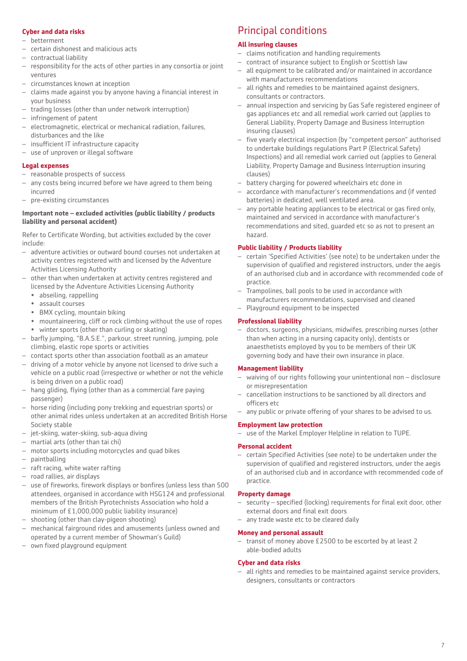#### **Cyber and data risks**

- betterment
- certain dishonest and malicious acts
- contractual liability
- responsibility for the acts of other parties in any consortia or joint ventures
- circumstances known at inception
- claims made against you by anyone having a financial interest in your business
- trading losses (other than under network interruption)
- infringement of patent
- electromagnetic, electrical or mechanical radiation, failures, disturbances and the like
- insufficient IT infrastructure capacity
- use of unproven or illegal software

#### **Legal expenses**

- reasonable prospects of success
- any costs being incurred before we have agreed to them being incurred
- pre-existing circumstances

#### **Important note – excluded activities (public liability / products liability and personal accident)**

Refer to Certificate Wording, but activities excluded by the cover include:

- adventure activities or outward bound courses not undertaken at activity centres registered with and licensed by the Adventure Activities Licensing Authority
- other than when undertaken at activity centres registered and licensed by the Adventure Activities Licensing Authority
	- abseiling, rappelling
	- assault courses
	- BMX cycling, mountain biking
	- mountaineering, cliff or rock climbing without the use of ropes winter sports (other than curling or skating)
- barfly jumping, "B.A.S.E.", parkour, street running, jumping, pole climbing, elastic rope sports or activities
- contact sports other than association football as an amateur
- driving of a motor vehicle by anyone not licensed to drive such a vehicle on a public road (irrespective or whether or not the vehicle is being driven on a public road)
- hang gliding, flying (other than as a commercial fare paying passenger)
- horse riding (including pony trekking and equestrian sports) or other animal rides unless undertaken at an accredited British Horse Society stable
- jet-skiing, water-skiing, sub-aqua diving
- martial arts (other than tai chi)
- motor sports including motorcycles and quad bikes
- paintballing
- raft racing, white water rafting
- road rallies, air displays
- use of fireworks, firework displays or bonfires (unless less than 500 attendees, organised in accordance with HSG124 and professional members of the British Pyrotechnists Association who hold a minimum of £1,000,000 public liability insurance)
- shooting (other than clay-pigeon shooting)
- mechanical fairground rides and amusements (unless owned and operated by a current member of Showman's Guild)
- own fixed playground equipment

# Principal conditions

#### **All insuring clauses**

- claims notification and handling requirements
- contract of insurance subject to English or Scottish law
- all equipment to be calibrated and/or maintained in accordance with manufacturers recommendations
- all rights and remedies to be maintained against designers, consultants or contractors.
- annual inspection and servicing by Gas Safe registered engineer of gas appliances etc and all remedial work carried out (applies to General Liability, Property Damage and Business Interruption insuring clauses)
- five yearly electrical inspection (by "competent person" authorised to undertake buildings regulations Part P (Electrical Safety) Inspections) and all remedial work carried out (applies to General Liability, Property Damage and Business Interruption insuring clauses)
- battery charging for powered wheelchairs etc done in
- accordance with manufacturer's recommendations and (if vented batteries) in dedicated, well ventilated area.
- any portable heating appliances to be electrical or gas fired only, maintained and serviced in accordance with manufacturer's recommendations and sited, guarded etc so as not to present an hazard.

#### **Public liability / Products liability**

- certain 'Specified Activities' (see note) to be undertaken under the supervision of qualified and registered instructors, under the aegis of an authorised club and in accordance with recommended code of practice.
- Trampolines, ball pools to be used in accordance with manufacturers recommendations, supervised and cleaned
- Playground equipment to be inspected

#### **Professional liability**

– doctors, surgeons, physicians, midwifes, prescribing nurses (other than when acting in a nursing capacity only), dentists or anaesthetists employed by you to be members of their UK governing body and have their own insurance in place.

#### **Management liability**

- waiving of our rights following your unintentional non disclosure or misrepresentation
- cancellation instructions to be sanctioned by all directors and officers etc
- any public or private offering of your shares to be advised to us.

#### **Employment law protection**

– use of the Markel Employer Helpline in relation to TUPE.

#### **Personal accident**

– certain Specified Activities (see note) to be undertaken under the supervision of qualified and registered instructors, under the aegis of an authorised club and in accordance with recommended code of practice.

#### **Property damage**

- security specified (locking) requirements for final exit door, other external doors and final exit doors
- any trade waste etc to be cleared daily

#### **Money and personal assault**

– transit of money above £2500 to be escorted by at least 2 able-bodied adults

#### **Cyber and data risks**

– all rights and remedies to be maintained against service providers, designers, consultants or contractors